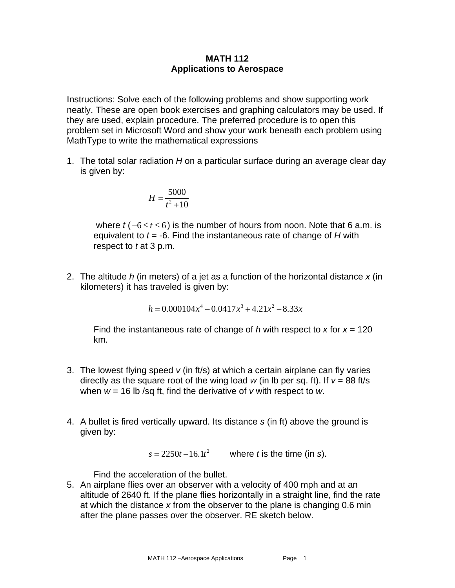## **MATH 112 Applications to Aerospace**

Instructions: Solve each of the following problems and show supporting work neatly. These are open book exercises and graphing calculators may be used. If they are used, explain procedure. The preferred procedure is to open this problem set in Microsoft Word and show your work beneath each problem using MathType to write the mathematical expressions

1. The total solar radiation *H* on a particular surface during an average clear day is given by:

$$
H = \frac{5000}{t^2 + 10}
$$

where  $t$  ( $-6 \le t \le 6$ ) is the number of hours from noon. Note that 6 a.m. is equivalent to *t* = -6. Find the instantaneous rate of change of *H* with respect to *t* at 3 p.m.

2. The altitude *h* (in meters) of a jet as a function of the horizontal distance *x* (in kilometers) it has traveled is given by:

$$
h = 0.000104x^4 - 0.0417x^3 + 4.21x^2 - 8.33x
$$

Find the instantaneous rate of change of  $h$  with respect to  $x$  for  $x = 120$ km.

- 3. The lowest flying speed *v* (in ft/s) at which a certain airplane can fly varies directly as the square root of the wing load  $w$  (in lb per sq. ft). If  $v = 88$  ft/s when *w* = 16 lb /sq ft, find the derivative of *v* with respect to *w*.
- 4. A bullet is fired vertically upward. Its distance *s* (in ft) above the ground is given by:

 $s = 2250t - 16.1t^2$  where *t* is the time (in *s*).

Find the acceleration of the bullet.

5. An airplane flies over an observer with a velocity of 400 mph and at an altitude of 2640 ft. If the plane flies horizontally in a straight line, find the rate at which the distance *x* from the observer to the plane is changing 0.6 min after the plane passes over the observer. RE sketch below.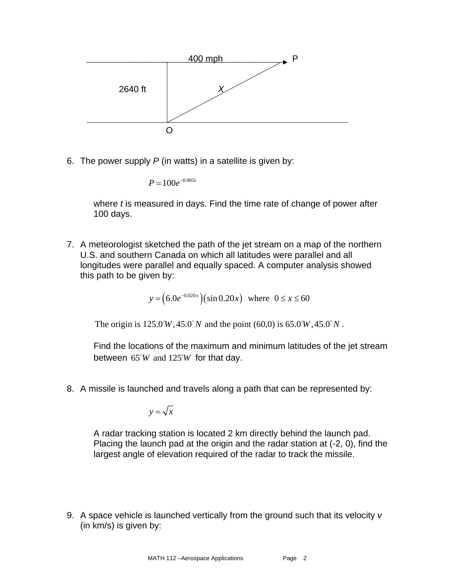

6. The power supply *P* (in watts) in a satellite is given by:

$$
P=100e^{-0.005t}
$$

where *t* is measured in days. Find the time rate of change of power after 100 days.

7. A meteorologist sketched the path of the jet stream on a map of the northern U.S. and southern Canada on which all latitudes were parallel and all longitudes were parallel and equally spaced. A computer analysis showed this path to be given by:

$$
y = (6.0e^{-0.020x})(\sin 0.20x)
$$
 where  $0 \le x \le 60$ 

The origin is  $125.0^{\circ}W, 45.0^{\circ}N$  and the point (60,0) is 65.0°W, 45.0°N.

Find the locations of the maximum and minimum latitudes of the jet stream between  $65^{\circ}W$  and  $125^{\circ}W$  for that day.

8. A missile is launched and travels along a path that can be represented by:

$$
y = \sqrt{x}
$$

A radar tracking station is located 2 km directly behind the launch pad. Placing the launch pad at the origin and the radar station at (-2, 0), find the largest angle of elevation required of the radar to track the missile.

9. A space vehicle is launched vertically from the ground such that its velocity *v* (in km/s) is given by: